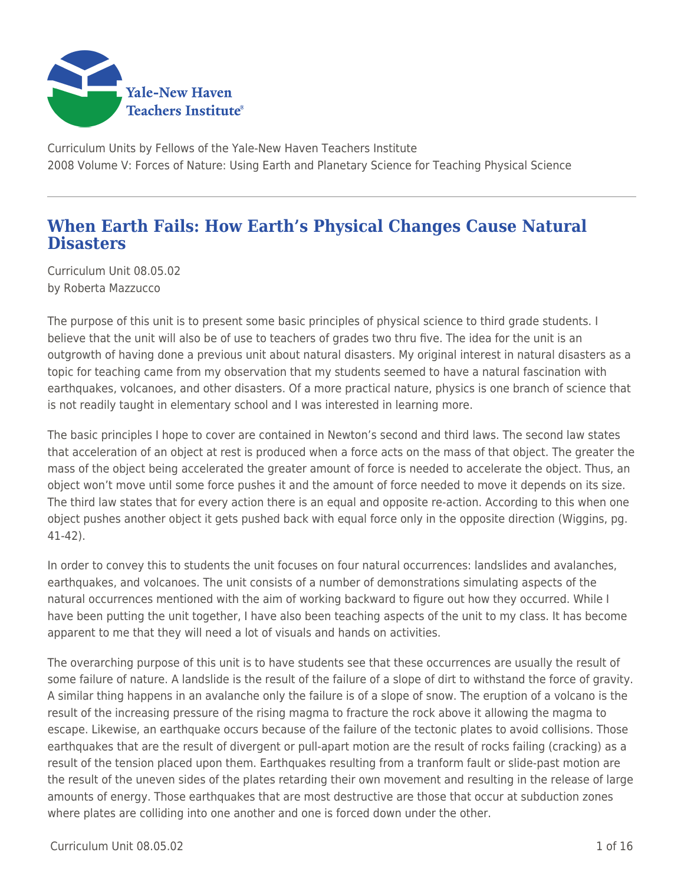

Curriculum Units by Fellows of the Yale-New Haven Teachers Institute 2008 Volume V: Forces of Nature: Using Earth and Planetary Science for Teaching Physical Science

## **When Earth Fails: How Earth's Physical Changes Cause Natural Disasters**

Curriculum Unit 08.05.02 by Roberta Mazzucco

The purpose of this unit is to present some basic principles of physical science to third grade students. I believe that the unit will also be of use to teachers of grades two thru five. The idea for the unit is an outgrowth of having done a previous unit about natural disasters. My original interest in natural disasters as a topic for teaching came from my observation that my students seemed to have a natural fascination with earthquakes, volcanoes, and other disasters. Of a more practical nature, physics is one branch of science that is not readily taught in elementary school and I was interested in learning more.

The basic principles I hope to cover are contained in Newton's second and third laws. The second law states that acceleration of an object at rest is produced when a force acts on the mass of that object. The greater the mass of the object being accelerated the greater amount of force is needed to accelerate the object. Thus, an object won't move until some force pushes it and the amount of force needed to move it depends on its size. The third law states that for every action there is an equal and opposite re-action. According to this when one object pushes another object it gets pushed back with equal force only in the opposite direction (Wiggins, pg. 41-42).

In order to convey this to students the unit focuses on four natural occurrences: landslides and avalanches, earthquakes, and volcanoes. The unit consists of a number of demonstrations simulating aspects of the natural occurrences mentioned with the aim of working backward to figure out how they occurred. While I have been putting the unit together, I have also been teaching aspects of the unit to my class. It has become apparent to me that they will need a lot of visuals and hands on activities.

The overarching purpose of this unit is to have students see that these occurrences are usually the result of some failure of nature. A landslide is the result of the failure of a slope of dirt to withstand the force of gravity. A similar thing happens in an avalanche only the failure is of a slope of snow. The eruption of a volcano is the result of the increasing pressure of the rising magma to fracture the rock above it allowing the magma to escape. Likewise, an earthquake occurs because of the failure of the tectonic plates to avoid collisions. Those earthquakes that are the result of divergent or pull-apart motion are the result of rocks failing (cracking) as a result of the tension placed upon them. Earthquakes resulting from a tranform fault or slide-past motion are the result of the uneven sides of the plates retarding their own movement and resulting in the release of large amounts of energy. Those earthquakes that are most destructive are those that occur at subduction zones where plates are colliding into one another and one is forced down under the other.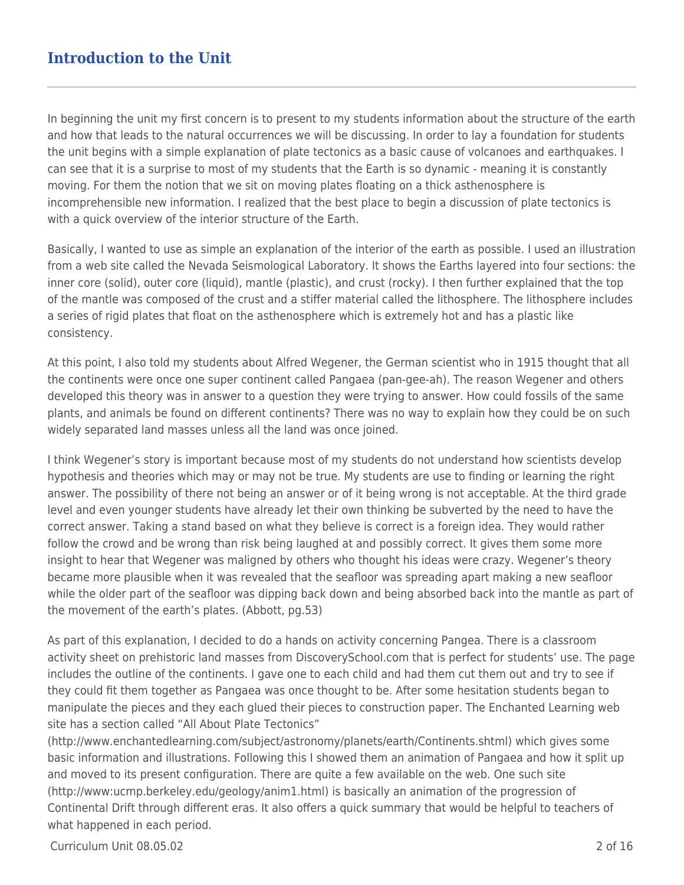## **Introduction to the Unit**

In beginning the unit my first concern is to present to my students information about the structure of the earth and how that leads to the natural occurrences we will be discussing. In order to lay a foundation for students the unit begins with a simple explanation of plate tectonics as a basic cause of volcanoes and earthquakes. I can see that it is a surprise to most of my students that the Earth is so dynamic - meaning it is constantly moving. For them the notion that we sit on moving plates floating on a thick asthenosphere is incomprehensible new information. I realized that the best place to begin a discussion of plate tectonics is with a quick overview of the interior structure of the Earth.

Basically, I wanted to use as simple an explanation of the interior of the earth as possible. I used an illustration from a web site called the Nevada Seismological Laboratory. It shows the Earths layered into four sections: the inner core (solid), outer core (liquid), mantle (plastic), and crust (rocky). I then further explained that the top of the mantle was composed of the crust and a stiffer material called the lithosphere. The lithosphere includes a series of rigid plates that float on the asthenosphere which is extremely hot and has a plastic like consistency.

At this point, I also told my students about Alfred Wegener, the German scientist who in 1915 thought that all the continents were once one super continent called Pangaea (pan-gee-ah). The reason Wegener and others developed this theory was in answer to a question they were trying to answer. How could fossils of the same plants, and animals be found on different continents? There was no way to explain how they could be on such widely separated land masses unless all the land was once joined.

I think Wegener's story is important because most of my students do not understand how scientists develop hypothesis and theories which may or may not be true. My students are use to finding or learning the right answer. The possibility of there not being an answer or of it being wrong is not acceptable. At the third grade level and even younger students have already let their own thinking be subverted by the need to have the correct answer. Taking a stand based on what they believe is correct is a foreign idea. They would rather follow the crowd and be wrong than risk being laughed at and possibly correct. It gives them some more insight to hear that Wegener was maligned by others who thought his ideas were crazy. Wegener's theory became more plausible when it was revealed that the seafloor was spreading apart making a new seafloor while the older part of the seafloor was dipping back down and being absorbed back into the mantle as part of the movement of the earth's plates. (Abbott, pg.53)

As part of this explanation, I decided to do a hands on activity concerning Pangea. There is a classroom activity sheet on prehistoric land masses from DiscoverySchool.com that is perfect for students' use. The page includes the outline of the continents. I gave one to each child and had them cut them out and try to see if they could fit them together as Pangaea was once thought to be. After some hesitation students began to manipulate the pieces and they each glued their pieces to construction paper. The Enchanted Learning web site has a section called "All About Plate Tectonics"

(http://www.enchantedlearning.com/subject/astronomy/planets/earth/Continents.shtml) which gives some basic information and illustrations. Following this I showed them an animation of Pangaea and how it split up and moved to its present configuration. There are quite a few available on the web. One such site (http://www:ucmp.berkeley.edu/geology/anim1.html) is basically an animation of the progression of Continental Drift through different eras. It also offers a quick summary that would be helpful to teachers of what happened in each period.

Curriculum Unit 08.05.02 2 of 16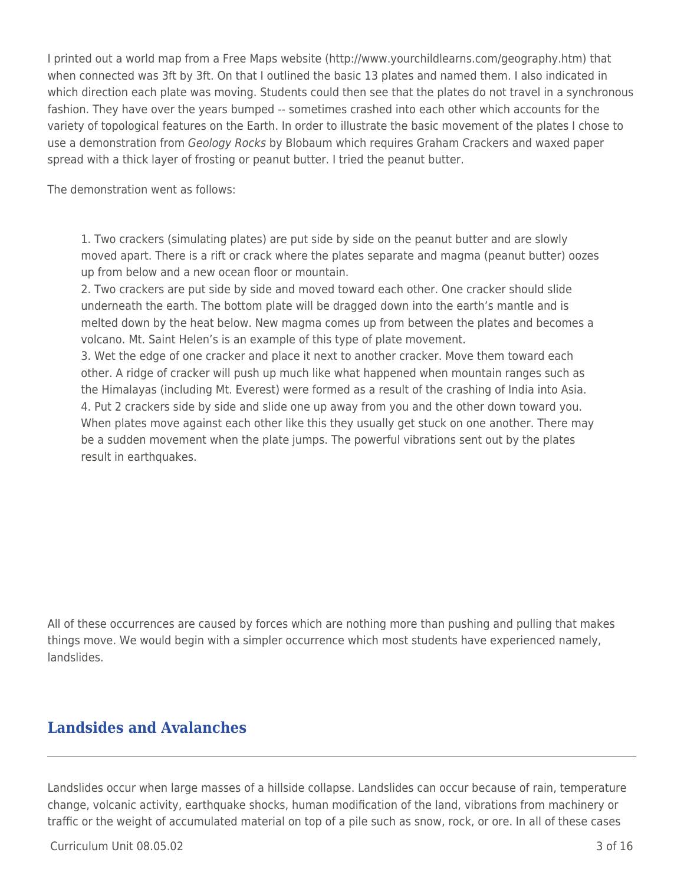I printed out a world map from a Free Maps website (http://www.yourchildlearns.com/geography.htm) that when connected was 3ft by 3ft. On that I outlined the basic 13 plates and named them. I also indicated in which direction each plate was moving. Students could then see that the plates do not travel in a synchronous fashion. They have over the years bumped -- sometimes crashed into each other which accounts for the variety of topological features on the Earth. In order to illustrate the basic movement of the plates I chose to use a demonstration from Geology Rocks by Blobaum which requires Graham Crackers and waxed paper spread with a thick layer of frosting or peanut butter. I tried the peanut butter.

The demonstration went as follows:

1. Two crackers (simulating plates) are put side by side on the peanut butter and are slowly moved apart. There is a rift or crack where the plates separate and magma (peanut butter) oozes up from below and a new ocean floor or mountain.

2. Two crackers are put side by side and moved toward each other. One cracker should slide underneath the earth. The bottom plate will be dragged down into the earth's mantle and is melted down by the heat below. New magma comes up from between the plates and becomes a volcano. Mt. Saint Helen's is an example of this type of plate movement.

3. Wet the edge of one cracker and place it next to another cracker. Move them toward each other. A ridge of cracker will push up much like what happened when mountain ranges such as the Himalayas (including Mt. Everest) were formed as a result of the crashing of India into Asia. 4. Put 2 crackers side by side and slide one up away from you and the other down toward you. When plates move against each other like this they usually get stuck on one another. There may be a sudden movement when the plate jumps. The powerful vibrations sent out by the plates result in earthquakes.

All of these occurrences are caused by forces which are nothing more than pushing and pulling that makes things move. We would begin with a simpler occurrence which most students have experienced namely, landslides.

## **Landsides and Avalanches**

Landslides occur when large masses of a hillside collapse. Landslides can occur because of rain, temperature change, volcanic activity, earthquake shocks, human modification of the land, vibrations from machinery or traffic or the weight of accumulated material on top of a pile such as snow, rock, or ore. In all of these cases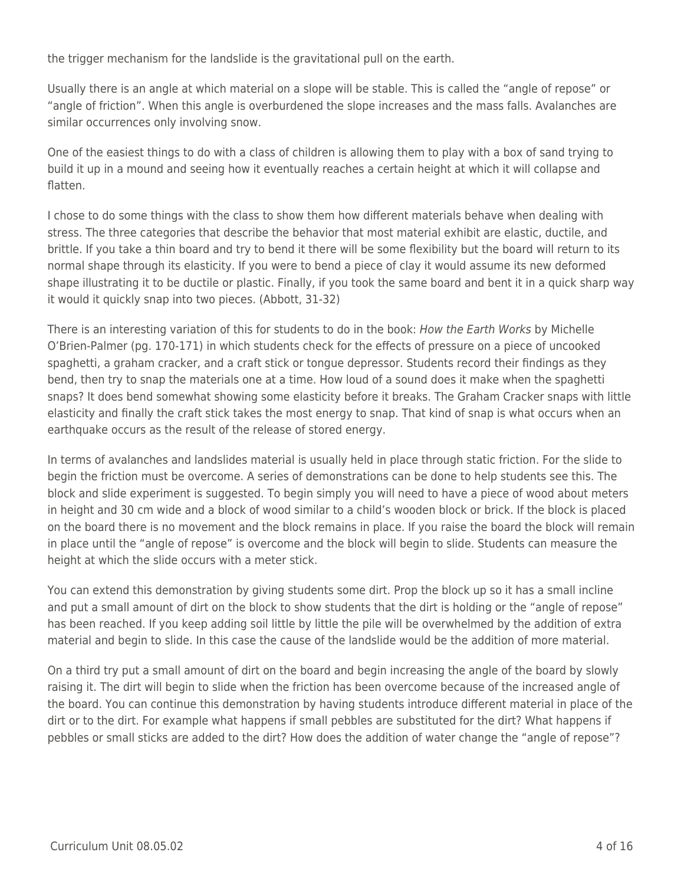the trigger mechanism for the landslide is the gravitational pull on the earth.

Usually there is an angle at which material on a slope will be stable. This is called the "angle of repose" or "angle of friction". When this angle is overburdened the slope increases and the mass falls. Avalanches are similar occurrences only involving snow.

One of the easiest things to do with a class of children is allowing them to play with a box of sand trying to build it up in a mound and seeing how it eventually reaches a certain height at which it will collapse and flatten.

I chose to do some things with the class to show them how different materials behave when dealing with stress. The three categories that describe the behavior that most material exhibit are elastic, ductile, and brittle. If you take a thin board and try to bend it there will be some flexibility but the board will return to its normal shape through its elasticity. If you were to bend a piece of clay it would assume its new deformed shape illustrating it to be ductile or plastic. Finally, if you took the same board and bent it in a quick sharp way it would it quickly snap into two pieces. (Abbott, 31-32)

There is an interesting variation of this for students to do in the book: How the Earth Works by Michelle O'Brien-Palmer (pg. 170-171) in which students check for the effects of pressure on a piece of uncooked spaghetti, a graham cracker, and a craft stick or tongue depressor. Students record their findings as they bend, then try to snap the materials one at a time. How loud of a sound does it make when the spaghetti snaps? It does bend somewhat showing some elasticity before it breaks. The Graham Cracker snaps with little elasticity and finally the craft stick takes the most energy to snap. That kind of snap is what occurs when an earthquake occurs as the result of the release of stored energy.

In terms of avalanches and landslides material is usually held in place through static friction. For the slide to begin the friction must be overcome. A series of demonstrations can be done to help students see this. The block and slide experiment is suggested. To begin simply you will need to have a piece of wood about meters in height and 30 cm wide and a block of wood similar to a child's wooden block or brick. If the block is placed on the board there is no movement and the block remains in place. If you raise the board the block will remain in place until the "angle of repose" is overcome and the block will begin to slide. Students can measure the height at which the slide occurs with a meter stick.

You can extend this demonstration by giving students some dirt. Prop the block up so it has a small incline and put a small amount of dirt on the block to show students that the dirt is holding or the "angle of repose" has been reached. If you keep adding soil little by little the pile will be overwhelmed by the addition of extra material and begin to slide. In this case the cause of the landslide would be the addition of more material.

On a third try put a small amount of dirt on the board and begin increasing the angle of the board by slowly raising it. The dirt will begin to slide when the friction has been overcome because of the increased angle of the board. You can continue this demonstration by having students introduce different material in place of the dirt or to the dirt. For example what happens if small pebbles are substituted for the dirt? What happens if pebbles or small sticks are added to the dirt? How does the addition of water change the "angle of repose"?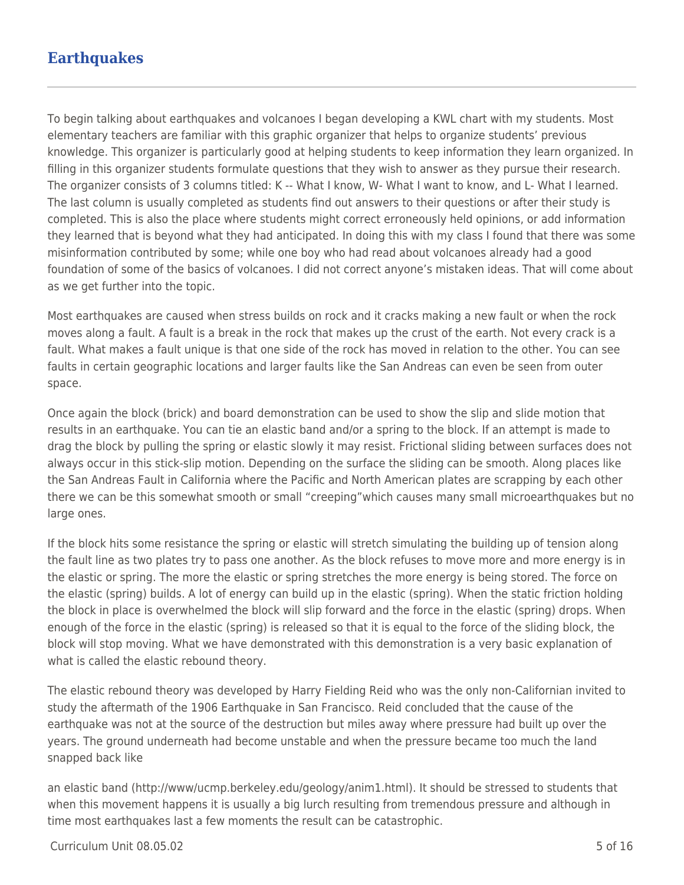# **Earthquakes**

To begin talking about earthquakes and volcanoes I began developing a KWL chart with my students. Most elementary teachers are familiar with this graphic organizer that helps to organize students' previous knowledge. This organizer is particularly good at helping students to keep information they learn organized. In filling in this organizer students formulate questions that they wish to answer as they pursue their research. The organizer consists of 3 columns titled: K -- What I know, W- What I want to know, and L- What I learned. The last column is usually completed as students find out answers to their questions or after their study is completed. This is also the place where students might correct erroneously held opinions, or add information they learned that is beyond what they had anticipated. In doing this with my class I found that there was some misinformation contributed by some; while one boy who had read about volcanoes already had a good foundation of some of the basics of volcanoes. I did not correct anyone's mistaken ideas. That will come about as we get further into the topic.

Most earthquakes are caused when stress builds on rock and it cracks making a new fault or when the rock moves along a fault. A fault is a break in the rock that makes up the crust of the earth. Not every crack is a fault. What makes a fault unique is that one side of the rock has moved in relation to the other. You can see faults in certain geographic locations and larger faults like the San Andreas can even be seen from outer space.

Once again the block (brick) and board demonstration can be used to show the slip and slide motion that results in an earthquake. You can tie an elastic band and/or a spring to the block. If an attempt is made to drag the block by pulling the spring or elastic slowly it may resist. Frictional sliding between surfaces does not always occur in this stick-slip motion. Depending on the surface the sliding can be smooth. Along places like the San Andreas Fault in California where the Pacific and North American plates are scrapping by each other there we can be this somewhat smooth or small "creeping"which causes many small microearthquakes but no large ones.

If the block hits some resistance the spring or elastic will stretch simulating the building up of tension along the fault line as two plates try to pass one another. As the block refuses to move more and more energy is in the elastic or spring. The more the elastic or spring stretches the more energy is being stored. The force on the elastic (spring) builds. A lot of energy can build up in the elastic (spring). When the static friction holding the block in place is overwhelmed the block will slip forward and the force in the elastic (spring) drops. When enough of the force in the elastic (spring) is released so that it is equal to the force of the sliding block, the block will stop moving. What we have demonstrated with this demonstration is a very basic explanation of what is called the elastic rebound theory.

The elastic rebound theory was developed by Harry Fielding Reid who was the only non-Californian invited to study the aftermath of the 1906 Earthquake in San Francisco. Reid concluded that the cause of the earthquake was not at the source of the destruction but miles away where pressure had built up over the years. The ground underneath had become unstable and when the pressure became too much the land snapped back like

an elastic band (http://www/ucmp.berkeley.edu/geology/anim1.html). It should be stressed to students that when this movement happens it is usually a big lurch resulting from tremendous pressure and although in time most earthquakes last a few moments the result can be catastrophic.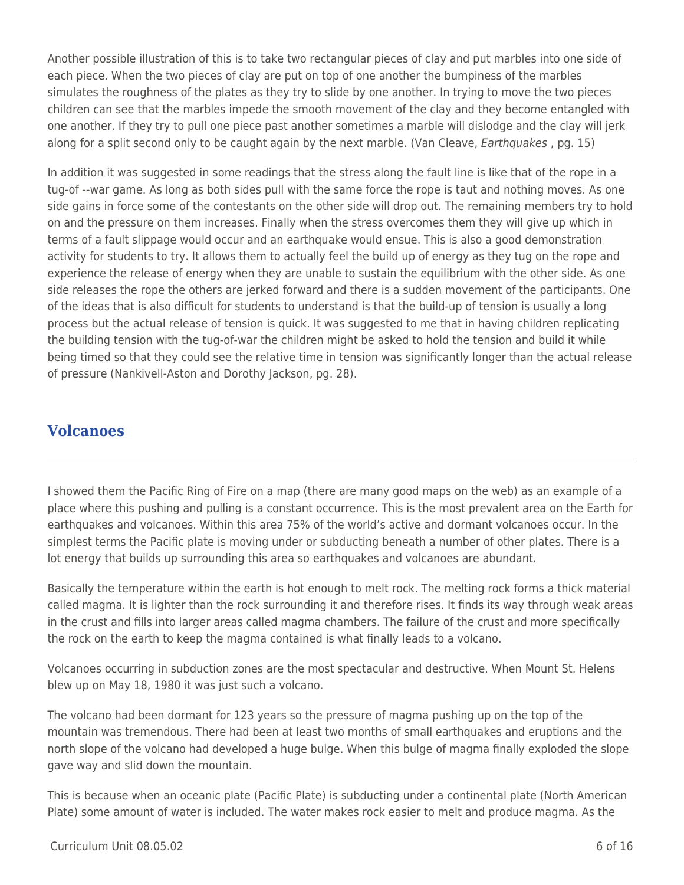Another possible illustration of this is to take two rectangular pieces of clay and put marbles into one side of each piece. When the two pieces of clay are put on top of one another the bumpiness of the marbles simulates the roughness of the plates as they try to slide by one another. In trying to move the two pieces children can see that the marbles impede the smooth movement of the clay and they become entangled with one another. If they try to pull one piece past another sometimes a marble will dislodge and the clay will jerk along for a split second only to be caught again by the next marble. (Van Cleave, *Earthquakes*, pg. 15)

In addition it was suggested in some readings that the stress along the fault line is like that of the rope in a tug-of --war game. As long as both sides pull with the same force the rope is taut and nothing moves. As one side gains in force some of the contestants on the other side will drop out. The remaining members try to hold on and the pressure on them increases. Finally when the stress overcomes them they will give up which in terms of a fault slippage would occur and an earthquake would ensue. This is also a good demonstration activity for students to try. It allows them to actually feel the build up of energy as they tug on the rope and experience the release of energy when they are unable to sustain the equilibrium with the other side. As one side releases the rope the others are jerked forward and there is a sudden movement of the participants. One of the ideas that is also difficult for students to understand is that the build-up of tension is usually a long process but the actual release of tension is quick. It was suggested to me that in having children replicating the building tension with the tug-of-war the children might be asked to hold the tension and build it while being timed so that they could see the relative time in tension was significantly longer than the actual release of pressure (Nankivell-Aston and Dorothy Jackson, pg. 28).

## **Volcanoes**

I showed them the Pacific Ring of Fire on a map (there are many good maps on the web) as an example of a place where this pushing and pulling is a constant occurrence. This is the most prevalent area on the Earth for earthquakes and volcanoes. Within this area 75% of the world's active and dormant volcanoes occur. In the simplest terms the Pacific plate is moving under or subducting beneath a number of other plates. There is a lot energy that builds up surrounding this area so earthquakes and volcanoes are abundant.

Basically the temperature within the earth is hot enough to melt rock. The melting rock forms a thick material called magma. It is lighter than the rock surrounding it and therefore rises. It finds its way through weak areas in the crust and fills into larger areas called magma chambers. The failure of the crust and more specifically the rock on the earth to keep the magma contained is what finally leads to a volcano.

Volcanoes occurring in subduction zones are the most spectacular and destructive. When Mount St. Helens blew up on May 18, 1980 it was just such a volcano.

The volcano had been dormant for 123 years so the pressure of magma pushing up on the top of the mountain was tremendous. There had been at least two months of small earthquakes and eruptions and the north slope of the volcano had developed a huge bulge. When this bulge of magma finally exploded the slope gave way and slid down the mountain.

This is because when an oceanic plate (Pacific Plate) is subducting under a continental plate (North American Plate) some amount of water is included. The water makes rock easier to melt and produce magma. As the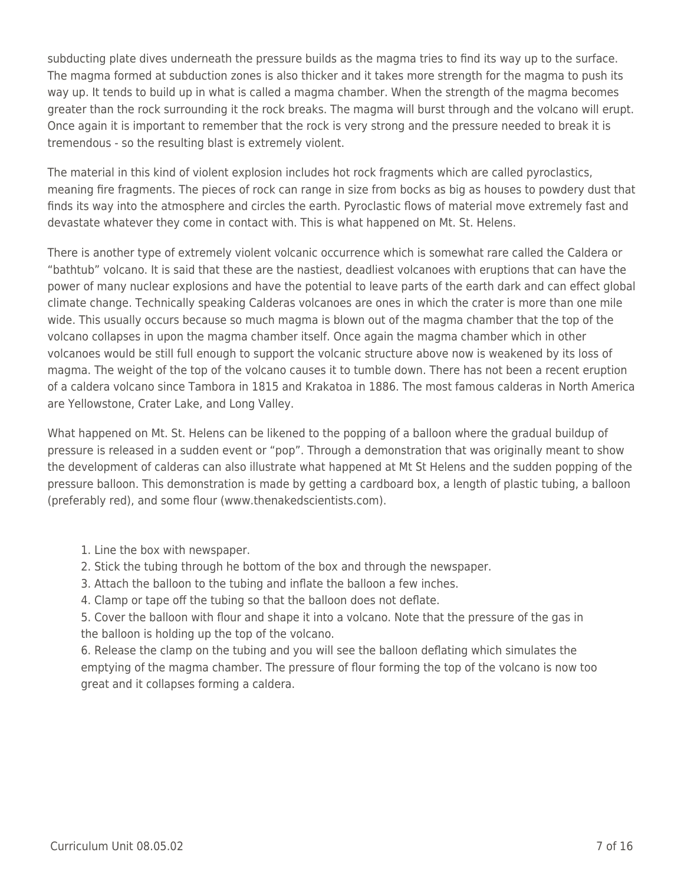subducting plate dives underneath the pressure builds as the magma tries to find its way up to the surface. The magma formed at subduction zones is also thicker and it takes more strength for the magma to push its way up. It tends to build up in what is called a magma chamber. When the strength of the magma becomes greater than the rock surrounding it the rock breaks. The magma will burst through and the volcano will erupt. Once again it is important to remember that the rock is very strong and the pressure needed to break it is tremendous - so the resulting blast is extremely violent.

The material in this kind of violent explosion includes hot rock fragments which are called pyroclastics, meaning fire fragments. The pieces of rock can range in size from bocks as big as houses to powdery dust that finds its way into the atmosphere and circles the earth. Pyroclastic flows of material move extremely fast and devastate whatever they come in contact with. This is what happened on Mt. St. Helens.

There is another type of extremely violent volcanic occurrence which is somewhat rare called the Caldera or "bathtub" volcano. It is said that these are the nastiest, deadliest volcanoes with eruptions that can have the power of many nuclear explosions and have the potential to leave parts of the earth dark and can effect global climate change. Technically speaking Calderas volcanoes are ones in which the crater is more than one mile wide. This usually occurs because so much magma is blown out of the magma chamber that the top of the volcano collapses in upon the magma chamber itself. Once again the magma chamber which in other volcanoes would be still full enough to support the volcanic structure above now is weakened by its loss of magma. The weight of the top of the volcano causes it to tumble down. There has not been a recent eruption of a caldera volcano since Tambora in 1815 and Krakatoa in 1886. The most famous calderas in North America are Yellowstone, Crater Lake, and Long Valley.

What happened on Mt. St. Helens can be likened to the popping of a balloon where the gradual buildup of pressure is released in a sudden event or "pop". Through a demonstration that was originally meant to show the development of calderas can also illustrate what happened at Mt St Helens and the sudden popping of the pressure balloon. This demonstration is made by getting a cardboard box, a length of plastic tubing, a balloon (preferably red), and some flour (www.thenakedscientists.com).

- 1. Line the box with newspaper.
- 2. Stick the tubing through he bottom of the box and through the newspaper.
- 3. Attach the balloon to the tubing and inflate the balloon a few inches.
- 4. Clamp or tape off the tubing so that the balloon does not deflate.

5. Cover the balloon with flour and shape it into a volcano. Note that the pressure of the gas in the balloon is holding up the top of the volcano.

6. Release the clamp on the tubing and you will see the balloon deflating which simulates the emptying of the magma chamber. The pressure of flour forming the top of the volcano is now too great and it collapses forming a caldera.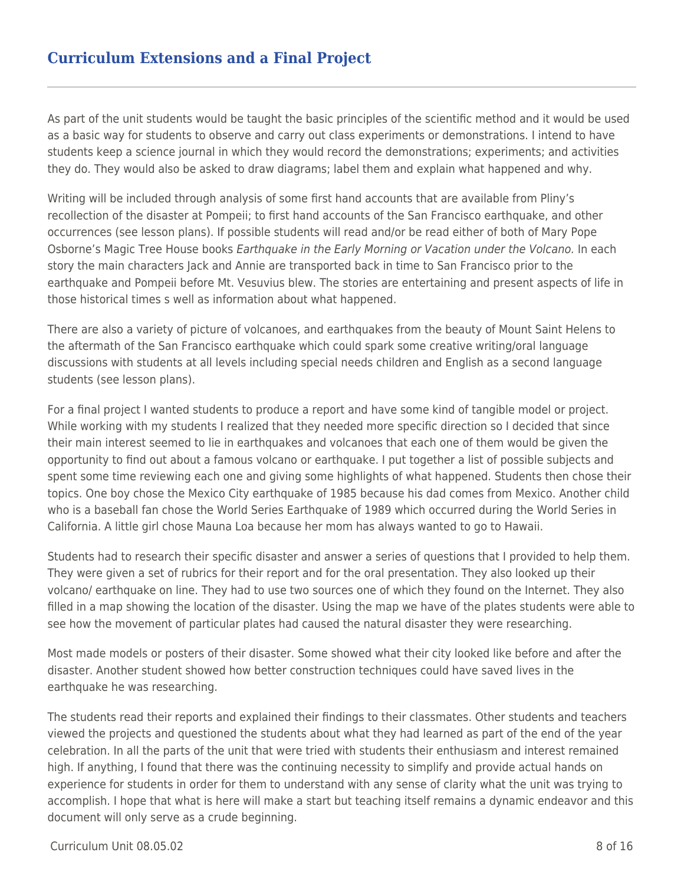## **Curriculum Extensions and a Final Project**

As part of the unit students would be taught the basic principles of the scientific method and it would be used as a basic way for students to observe and carry out class experiments or demonstrations. I intend to have students keep a science journal in which they would record the demonstrations; experiments; and activities they do. They would also be asked to draw diagrams; label them and explain what happened and why.

Writing will be included through analysis of some first hand accounts that are available from Pliny's recollection of the disaster at Pompeii; to first hand accounts of the San Francisco earthquake, and other occurrences (see lesson plans). If possible students will read and/or be read either of both of Mary Pope Osborne's Magic Tree House books Earthquake in the Early Morning or Vacation under the Volcano. In each story the main characters Jack and Annie are transported back in time to San Francisco prior to the earthquake and Pompeii before Mt. Vesuvius blew. The stories are entertaining and present aspects of life in those historical times s well as information about what happened.

There are also a variety of picture of volcanoes, and earthquakes from the beauty of Mount Saint Helens to the aftermath of the San Francisco earthquake which could spark some creative writing/oral language discussions with students at all levels including special needs children and English as a second language students (see lesson plans).

For a final project I wanted students to produce a report and have some kind of tangible model or project. While working with my students I realized that they needed more specific direction so I decided that since their main interest seemed to lie in earthquakes and volcanoes that each one of them would be given the opportunity to find out about a famous volcano or earthquake. I put together a list of possible subjects and spent some time reviewing each one and giving some highlights of what happened. Students then chose their topics. One boy chose the Mexico City earthquake of 1985 because his dad comes from Mexico. Another child who is a baseball fan chose the World Series Earthquake of 1989 which occurred during the World Series in California. A little girl chose Mauna Loa because her mom has always wanted to go to Hawaii.

Students had to research their specific disaster and answer a series of questions that I provided to help them. They were given a set of rubrics for their report and for the oral presentation. They also looked up their volcano/ earthquake on line. They had to use two sources one of which they found on the Internet. They also filled in a map showing the location of the disaster. Using the map we have of the plates students were able to see how the movement of particular plates had caused the natural disaster they were researching.

Most made models or posters of their disaster. Some showed what their city looked like before and after the disaster. Another student showed how better construction techniques could have saved lives in the earthquake he was researching.

The students read their reports and explained their findings to their classmates. Other students and teachers viewed the projects and questioned the students about what they had learned as part of the end of the year celebration. In all the parts of the unit that were tried with students their enthusiasm and interest remained high. If anything, I found that there was the continuing necessity to simplify and provide actual hands on experience for students in order for them to understand with any sense of clarity what the unit was trying to accomplish. I hope that what is here will make a start but teaching itself remains a dynamic endeavor and this document will only serve as a crude beginning.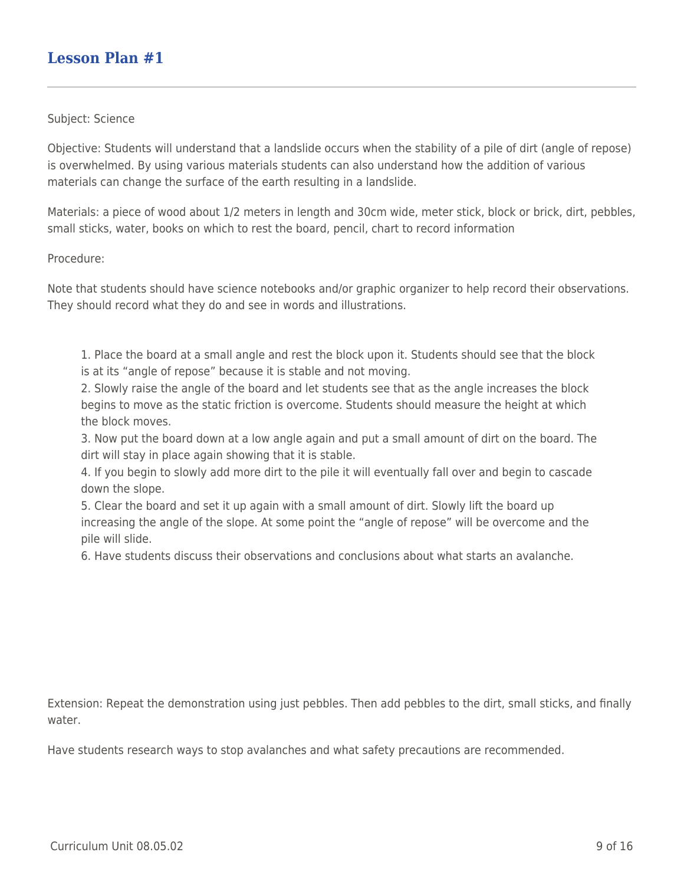### Subject: Science

Objective: Students will understand that a landslide occurs when the stability of a pile of dirt (angle of repose) is overwhelmed. By using various materials students can also understand how the addition of various materials can change the surface of the earth resulting in a landslide.

Materials: a piece of wood about 1/2 meters in length and 30cm wide, meter stick, block or brick, dirt, pebbles, small sticks, water, books on which to rest the board, pencil, chart to record information

### Procedure:

Note that students should have science notebooks and/or graphic organizer to help record their observations. They should record what they do and see in words and illustrations.

1. Place the board at a small angle and rest the block upon it. Students should see that the block is at its "angle of repose" because it is stable and not moving.

2. Slowly raise the angle of the board and let students see that as the angle increases the block begins to move as the static friction is overcome. Students should measure the height at which the block moves.

3. Now put the board down at a low angle again and put a small amount of dirt on the board. The dirt will stay in place again showing that it is stable.

4. If you begin to slowly add more dirt to the pile it will eventually fall over and begin to cascade down the slope.

5. Clear the board and set it up again with a small amount of dirt. Slowly lift the board up increasing the angle of the slope. At some point the "angle of repose" will be overcome and the pile will slide.

6. Have students discuss their observations and conclusions about what starts an avalanche.

Extension: Repeat the demonstration using just pebbles. Then add pebbles to the dirt, small sticks, and finally water.

Have students research ways to stop avalanches and what safety precautions are recommended.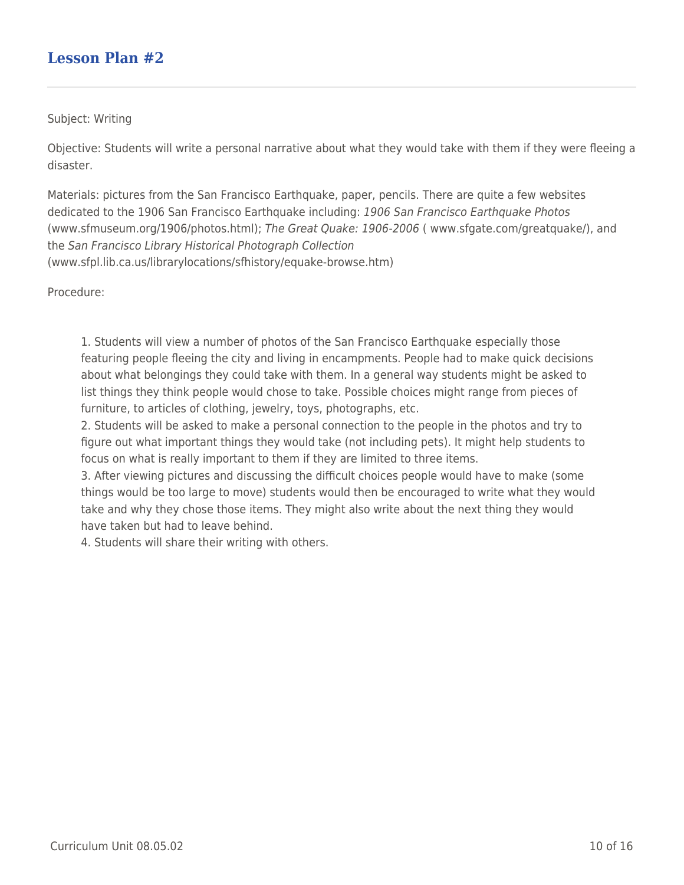Subject: Writing

Objective: Students will write a personal narrative about what they would take with them if they were fleeing a disaster.

Materials: pictures from the San Francisco Earthquake, paper, pencils. There are quite a few websites dedicated to the 1906 San Francisco Earthquake including: 1906 San Francisco Earthquake Photos (www.sfmuseum.org/1906/photos.html); The Great Quake: 1906-2006 ( www.sfgate.com/greatquake/), and the San Francisco Library Historical Photograph Collection (www.sfpl.lib.ca.us/librarylocations/sfhistory/equake-browse.htm)

Procedure:

1. Students will view a number of photos of the San Francisco Earthquake especially those featuring people fleeing the city and living in encampments. People had to make quick decisions about what belongings they could take with them. In a general way students might be asked to list things they think people would chose to take. Possible choices might range from pieces of furniture, to articles of clothing, jewelry, toys, photographs, etc.

2. Students will be asked to make a personal connection to the people in the photos and try to figure out what important things they would take (not including pets). It might help students to focus on what is really important to them if they are limited to three items.

3. After viewing pictures and discussing the difficult choices people would have to make (some things would be too large to move) students would then be encouraged to write what they would take and why they chose those items. They might also write about the next thing they would have taken but had to leave behind.

4. Students will share their writing with others.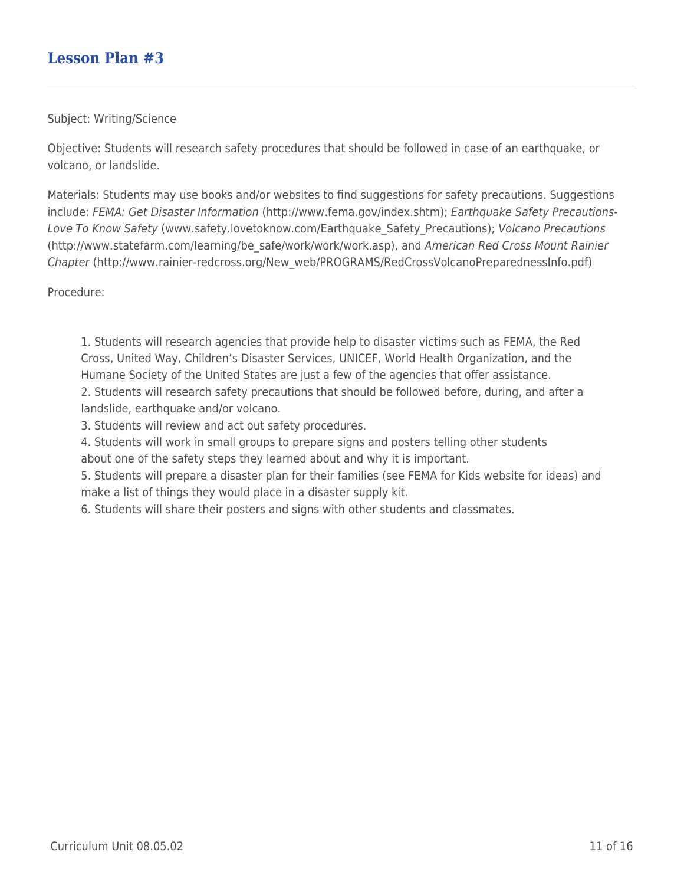### Subject: Writing/Science

Objective: Students will research safety procedures that should be followed in case of an earthquake, or volcano, or landslide.

Materials: Students may use books and/or websites to find suggestions for safety precautions. Suggestions include: FEMA: Get Disaster Information (http://www.fema.gov/index.shtm); Earthquake Safety Precautions-Love To Know Safety (www.safety.lovetoknow.com/Earthquake Safety Precautions); Volcano Precautions (http://www.statefarm.com/learning/be\_safe/work/work/work.asp), and American Red Cross Mount Rainier Chapter (http://www.rainier-redcross.org/New\_web/PROGRAMS/RedCrossVolcanoPreparednessInfo.pdf)

Procedure:

1. Students will research agencies that provide help to disaster victims such as FEMA, the Red Cross, United Way, Children's Disaster Services, UNICEF, World Health Organization, and the Humane Society of the United States are just a few of the agencies that offer assistance. 2. Students will research safety precautions that should be followed before, during, and after a landslide, earthquake and/or volcano.

3. Students will review and act out safety procedures.

4. Students will work in small groups to prepare signs and posters telling other students about one of the safety steps they learned about and why it is important.

5. Students will prepare a disaster plan for their families (see FEMA for Kids website for ideas) and make a list of things they would place in a disaster supply kit.

6. Students will share their posters and signs with other students and classmates.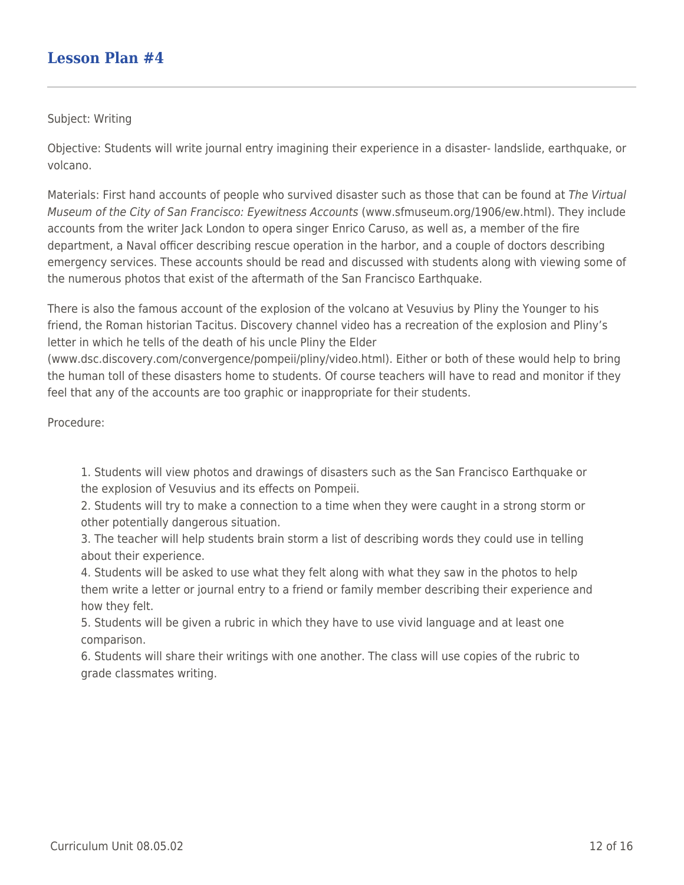### Subject: Writing

Objective: Students will write journal entry imagining their experience in a disaster- landslide, earthquake, or volcano.

Materials: First hand accounts of people who survived disaster such as those that can be found at The Virtual Museum of the City of San Francisco: Eyewitness Accounts (www.sfmuseum.org/1906/ew.html). They include accounts from the writer Jack London to opera singer Enrico Caruso, as well as, a member of the fire department, a Naval officer describing rescue operation in the harbor, and a couple of doctors describing emergency services. These accounts should be read and discussed with students along with viewing some of the numerous photos that exist of the aftermath of the San Francisco Earthquake.

There is also the famous account of the explosion of the volcano at Vesuvius by Pliny the Younger to his friend, the Roman historian Tacitus. Discovery channel video has a recreation of the explosion and Pliny's letter in which he tells of the death of his uncle Pliny the Elder

(www.dsc.discovery.com/convergence/pompeii/pliny/video.html). Either or both of these would help to bring the human toll of these disasters home to students. Of course teachers will have to read and monitor if they feel that any of the accounts are too graphic or inappropriate for their students.

Procedure:

1. Students will view photos and drawings of disasters such as the San Francisco Earthquake or the explosion of Vesuvius and its effects on Pompeii.

2. Students will try to make a connection to a time when they were caught in a strong storm or other potentially dangerous situation.

3. The teacher will help students brain storm a list of describing words they could use in telling about their experience.

4. Students will be asked to use what they felt along with what they saw in the photos to help them write a letter or journal entry to a friend or family member describing their experience and how they felt.

5. Students will be given a rubric in which they have to use vivid language and at least one comparison.

6. Students will share their writings with one another. The class will use copies of the rubric to grade classmates writing.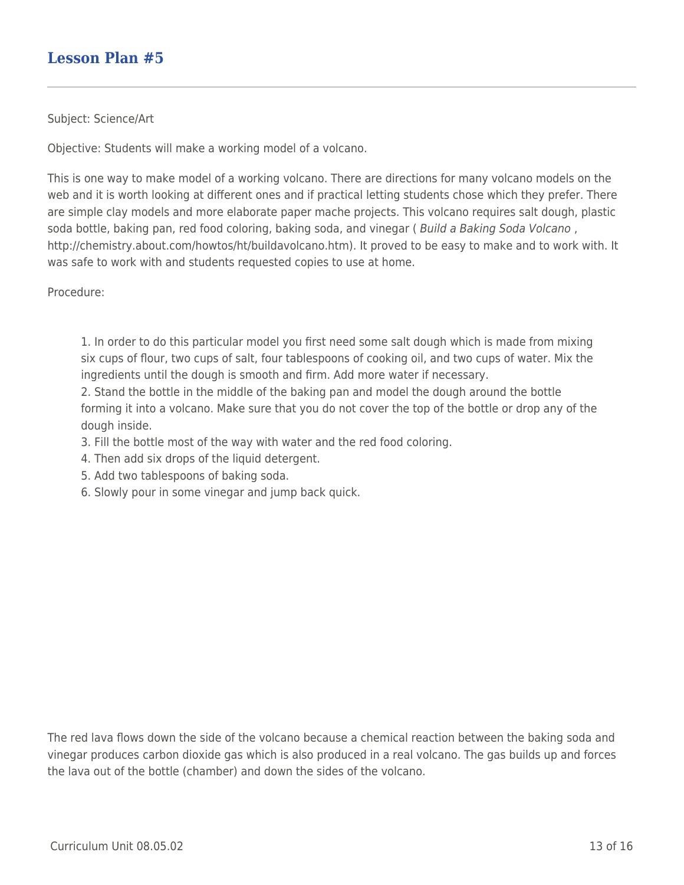### Subject: Science/Art

Objective: Students will make a working model of a volcano.

This is one way to make model of a working volcano. There are directions for many volcano models on the web and it is worth looking at different ones and if practical letting students chose which they prefer. There are simple clay models and more elaborate paper mache projects. This volcano requires salt dough, plastic soda bottle, baking pan, red food coloring, baking soda, and vinegar ( Build a Baking Soda Volcano , http://chemistry.about.com/howtos/ht/buildavolcano.htm). It proved to be easy to make and to work with. It was safe to work with and students requested copies to use at home.

Procedure:

1. In order to do this particular model you first need some salt dough which is made from mixing six cups of flour, two cups of salt, four tablespoons of cooking oil, and two cups of water. Mix the ingredients until the dough is smooth and firm. Add more water if necessary.

2. Stand the bottle in the middle of the baking pan and model the dough around the bottle forming it into a volcano. Make sure that you do not cover the top of the bottle or drop any of the dough inside.

- 3. Fill the bottle most of the way with water and the red food coloring.
- 4. Then add six drops of the liquid detergent.
- 5. Add two tablespoons of baking soda.
- 6. Slowly pour in some vinegar and jump back quick.

The red lava flows down the side of the volcano because a chemical reaction between the baking soda and vinegar produces carbon dioxide gas which is also produced in a real volcano. The gas builds up and forces the lava out of the bottle (chamber) and down the sides of the volcano.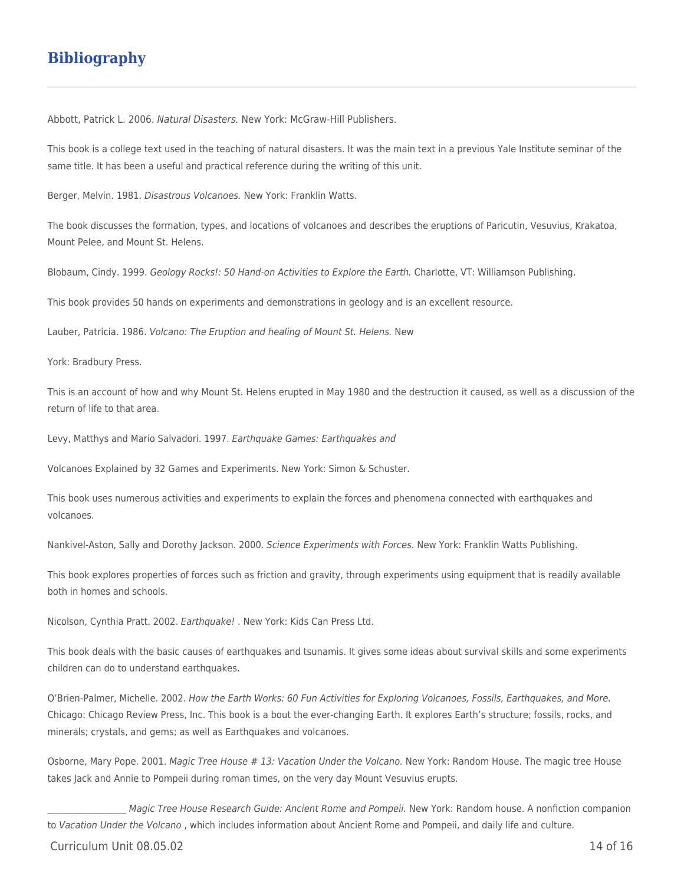## **Bibliography**

Abbott, Patrick L. 2006. Natural Disasters. New York: McGraw-Hill Publishers.

This book is a college text used in the teaching of natural disasters. It was the main text in a previous Yale Institute seminar of the same title. It has been a useful and practical reference during the writing of this unit.

Berger, Melvin. 1981. Disastrous Volcanoes. New York: Franklin Watts.

The book discusses the formation, types, and locations of volcanoes and describes the eruptions of Paricutin, Vesuvius, Krakatoa, Mount Pelee, and Mount St. Helens.

Blobaum, Cindy. 1999. Geology Rocks!: 50 Hand-on Activities to Explore the Earth. Charlotte, VT: Williamson Publishing.

This book provides 50 hands on experiments and demonstrations in geology and is an excellent resource.

Lauber, Patricia. 1986. Volcano: The Eruption and healing of Mount St. Helens. New

York: Bradbury Press.

This is an account of how and why Mount St. Helens erupted in May 1980 and the destruction it caused, as well as a discussion of the return of life to that area.

Levy, Matthys and Mario Salvadori. 1997. Earthquake Games: Earthquakes and

Volcanoes Explained by 32 Games and Experiments. New York: Simon & Schuster.

This book uses numerous activities and experiments to explain the forces and phenomena connected with earthquakes and volcanoes.

Nankivel-Aston, Sally and Dorothy Jackson. 2000. Science Experiments with Forces. New York: Franklin Watts Publishing.

This book explores properties of forces such as friction and gravity, through experiments using equipment that is readily available both in homes and schools.

Nicolson, Cynthia Pratt. 2002. Earthquake! . New York: Kids Can Press Ltd.

This book deals with the basic causes of earthquakes and tsunamis. It gives some ideas about survival skills and some experiments children can do to understand earthquakes.

O'Brien-Palmer, Michelle. 2002. How the Earth Works: 60 Fun Activities for Exploring Volcanoes, Fossils, Earthquakes, and More. Chicago: Chicago Review Press, Inc. This book is a bout the ever-changing Earth. It explores Earth's structure; fossils, rocks, and minerals; crystals, and gems; as well as Earthquakes and volcanoes.

Osborne, Mary Pope. 2001. Magic Tree House # 13: Vacation Under the Volcano. New York: Random House. The magic tree House takes Jack and Annie to Pompeii during roman times, on the very day Mount Vesuvius erupts.

Magic Tree House Research Guide: Ancient Rome and Pompeii. New York: Random house. A nonfiction companion to Vacation Under the Volcano, which includes information about Ancient Rome and Pompeii, and daily life and culture.

Curriculum Unit 08.05.02 14 of 16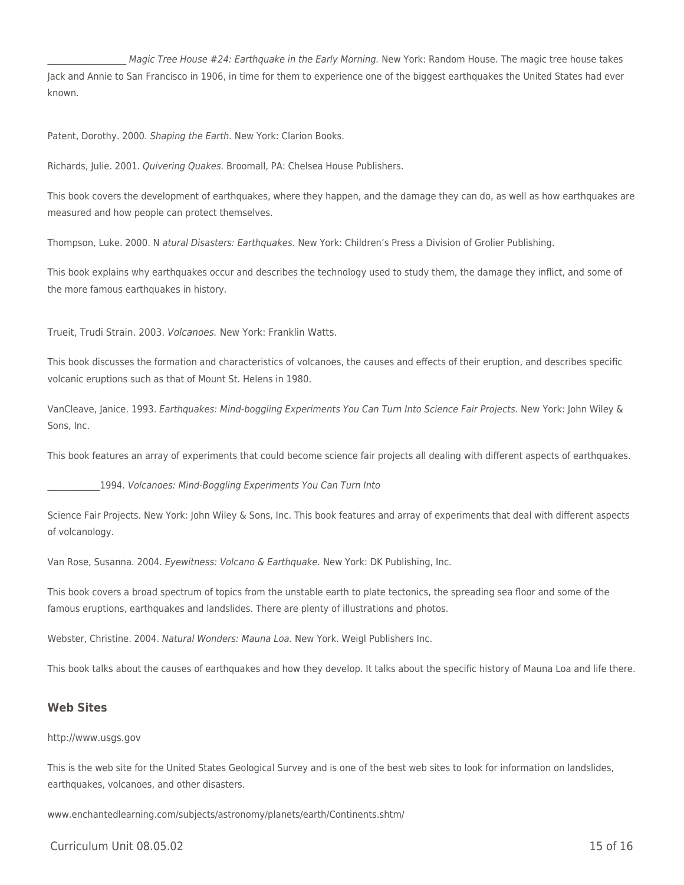Magic Tree House #24: Earthquake in the Early Morning. New York: Random House. The magic tree house takes Jack and Annie to San Francisco in 1906, in time for them to experience one of the biggest earthquakes the United States had ever known.

Patent, Dorothy. 2000. Shaping the Earth. New York: Clarion Books.

Richards, Julie. 2001. Quivering Quakes. Broomall, PA: Chelsea House Publishers.

This book covers the development of earthquakes, where they happen, and the damage they can do, as well as how earthquakes are measured and how people can protect themselves.

Thompson, Luke. 2000. N atural Disasters: Earthquakes. New York: Children's Press a Division of Grolier Publishing.

This book explains why earthquakes occur and describes the technology used to study them, the damage they inflict, and some of the more famous earthquakes in history.

Trueit, Trudi Strain. 2003. Volcanoes. New York: Franklin Watts.

This book discusses the formation and characteristics of volcanoes, the causes and effects of their eruption, and describes specific volcanic eruptions such as that of Mount St. Helens in 1980.

VanCleave, Janice. 1993. Earthquakes: Mind-boggling Experiments You Can Turn Into Science Fair Projects. New York: John Wiley & Sons, Inc.

This book features an array of experiments that could become science fair projects all dealing with different aspects of earthquakes.

1994. Volcanoes: Mind-Boggling Experiments You Can Turn Into

Science Fair Projects. New York: John Wiley & Sons, Inc. This book features and array of experiments that deal with different aspects of volcanology.

Van Rose, Susanna. 2004. Eyewitness: Volcano & Earthquake. New York: DK Publishing, Inc.

This book covers a broad spectrum of topics from the unstable earth to plate tectonics, the spreading sea floor and some of the famous eruptions, earthquakes and landslides. There are plenty of illustrations and photos.

Webster, Christine. 2004. Natural Wonders: Mauna Loa. New York. Weigl Publishers Inc.

This book talks about the causes of earthquakes and how they develop. It talks about the specific history of Mauna Loa and life there.

### **Web Sites**

#### http://www.usgs.gov

This is the web site for the United States Geological Survey and is one of the best web sites to look for information on landslides, earthquakes, volcanoes, and other disasters.

www.enchantedlearning.com/subjects/astronomy/planets/earth/Continents.shtm/

Curriculum Unit 08.05.02 15 of 16